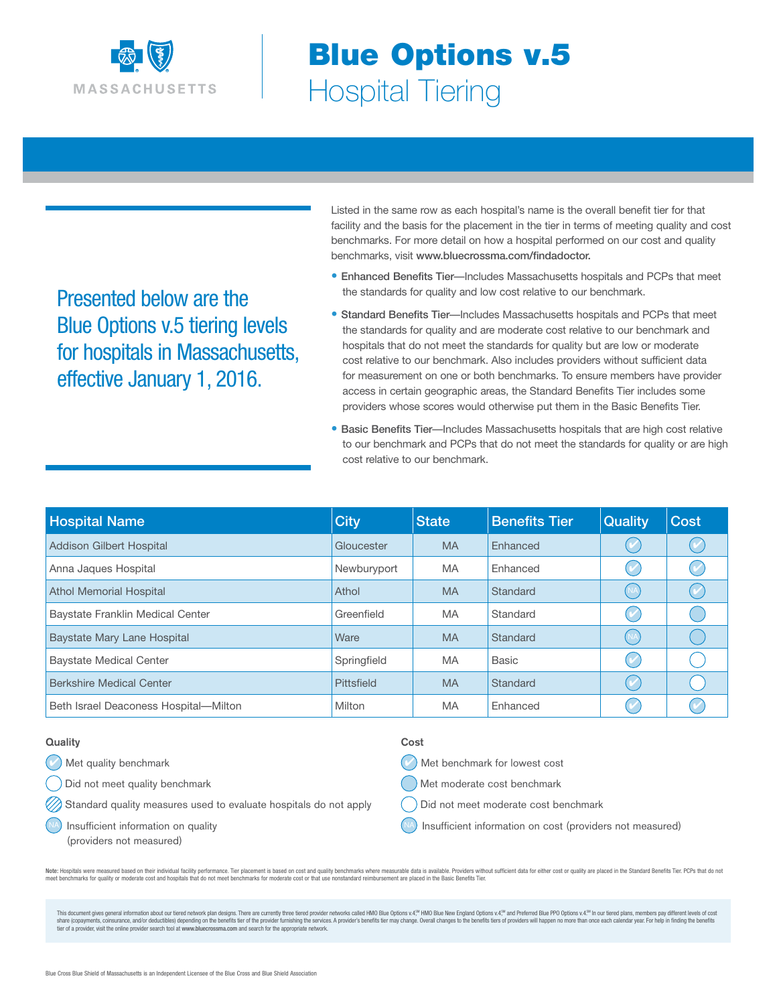

# Blue Options v.5 Hospital Tiering

Presented below are the Blue Options v.5 tiering levels for hospitals in Massachusetts, effective January 1, 2016.

Listed in the same row as each hospital's name is the overall benefit tier for that facility and the basis for the placement in the tier in terms of meeting quality and cost benchmarks. For more detail on how a hospital performed on our cost and quality benchmarks, visit www.bluecrossma.com/findadoctor.

- Enhanced Benefits Tier—Includes Massachusetts hospitals and PCPs that meet the standards for quality and low cost relative to our benchmark.
- Standard Benefits Tier—Includes Massachusetts hospitals and PCPs that meet the standards for quality and are moderate cost relative to our benchmark and hospitals that do not meet the standards for quality but are low or moderate cost relative to our benchmark. Also includes providers without sufficient data for measurement on one or both benchmarks. To ensure members have provider access in certain geographic areas, the Standard Benefits Tier includes some providers whose scores would otherwise put them in the Basic Benefits Tier.
- Basic Benefits Tier—Includes Massachusetts hospitals that are high cost relative to our benchmark and PCPs that do not meet the standards for quality or are high cost relative to our benchmark.

| <b>Hospital Name</b>                  | <b>City</b> | <b>State</b> | <b>Benefits Tier</b> | <b>Quality</b>         | <b>Cost</b> |
|---------------------------------------|-------------|--------------|----------------------|------------------------|-------------|
| <b>Addison Gilbert Hospital</b>       | Gloucester  | <b>MA</b>    | <b>F</b> nhanced     | $(\blacktriangledown)$ |             |
| Anna Jaques Hospital                  | Newburyport | <b>MA</b>    | <b>Fnhanced</b>      |                        |             |
| <b>Athol Memorial Hospital</b>        | Athol       | <b>MA</b>    | Standard             | <b>NA</b>              |             |
| Baystate Franklin Medical Center      | Greenfield  | <b>MA</b>    | Standard             |                        |             |
| Baystate Mary Lane Hospital           | Ware        | <b>MA</b>    | Standard             |                        |             |
| <b>Baystate Medical Center</b>        | Springfield | <b>MA</b>    | <b>Basic</b>         |                        |             |
| <b>Berkshire Medical Center</b>       | Pittsfield  | <b>MA</b>    | Standard             | $\checkmark$           |             |
| Beth Israel Deaconess Hospital-Milton | Milton      | <b>MA</b>    | <b>Fnhanced</b>      |                        |             |

#### **Quality**

**A** Met quality benchmark

Did not meet quality benchmark

 $\hat{\theta}$  Standard quality measures used to evaluate hospitals do not apply

Insufficient information on quality

(providers not measured)

#### Cost

4 Met benchmark for lowest cost

Met moderate cost benchmark

Did not meet moderate cost benchmark

Insufficient information on cost (providers not measured)

Note: Hospitals were measured based on their individual facility performance. Tier placement is based on cost and quality benchmarks where measurable data is available. Providers without sufficient data for either cost or meet benchmarks for quality or moderate cost and hospitals that do not meet benchmarks for moderate cost or that use nonstandard reimbursement are placed in the Basic Benefits Tier.

This document gives general information about our tiered network plan designs. There are currently three tiered provider networks called HMO Blue Options v4.<sup>94</sup> HMO Blue New England Options v4.<sup>94</sup> and Preferred Blue PPO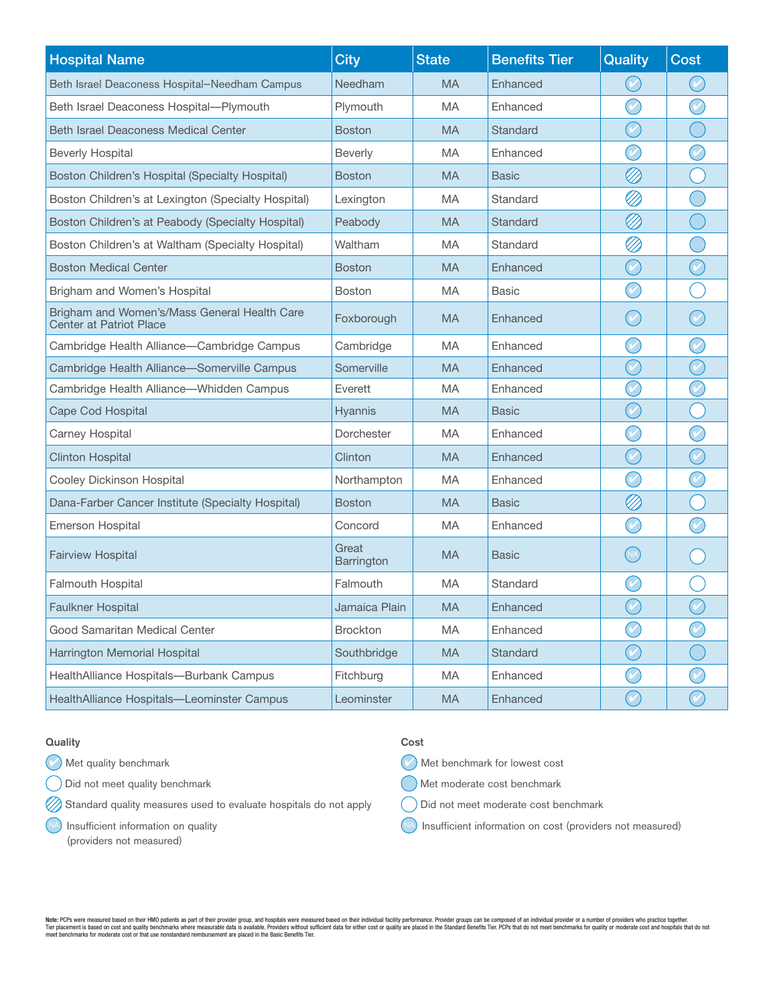| <b>Hospital Name</b>                                                           | <b>City</b>         | <b>State</b> | <b>Benefits Tier</b> | <b>Quality</b>              | <b>Cost</b> |
|--------------------------------------------------------------------------------|---------------------|--------------|----------------------|-----------------------------|-------------|
| Beth Israel Deaconess Hospital-Needham Campus                                  | Needham             | <b>MA</b>    | Enhanced             |                             |             |
| Beth Israel Deaconess Hospital-Plymouth                                        | Plymouth            | <b>MA</b>    | Enhanced             | $(\mathcal{C})$             |             |
| <b>Beth Israel Deaconess Medical Center</b>                                    | <b>Boston</b>       | <b>MA</b>    | Standard             | $\left(\mathcal{C}\right)$  |             |
| <b>Beverly Hospital</b>                                                        | <b>Beverly</b>      | <b>MA</b>    | Enhanced             | $(\check{e})$               |             |
| Boston Children's Hospital (Specialty Hospital)                                | <b>Boston</b>       | <b>MA</b>    | <b>Basic</b>         | Ø                           |             |
| Boston Children's at Lexington (Specialty Hospital)                            | Lexington           | MA           | Standard             | Ø                           |             |
| Boston Children's at Peabody (Specialty Hospital)                              | Peabody             | <b>MA</b>    | Standard             | Ø                           |             |
| Boston Children's at Waltham (Specialty Hospital)                              | Waltham             | MA           | Standard             | Ø                           |             |
| <b>Boston Medical Center</b>                                                   | <b>Boston</b>       | <b>MA</b>    | Enhanced             | $(\cdot)$                   |             |
| Brigham and Women's Hospital                                                   | <b>Boston</b>       | MA           | <b>Basic</b>         | $(\mathcal{C})$             |             |
| Brigham and Women's/Mass General Health Care<br><b>Center at Patriot Place</b> | Foxborough          | <b>MA</b>    | Enhanced             | $(\vee)$                    |             |
| Cambridge Health Alliance-Cambridge Campus                                     | Cambridge           | MA           | Enhanced             | $\checkmark$                |             |
| Cambridge Health Alliance-Somerville Campus                                    | Somerville          | <b>MA</b>    | Enhanced             | $(\check{e})$               |             |
| Cambridge Health Alliance-Whidden Campus                                       | Everett             | MA           | Enhanced             | $\omega$                    |             |
| Cape Cod Hospital                                                              | Hyannis             | <b>MA</b>    | <b>Basic</b>         | $\left( \mathcal{C}\right)$ |             |
| Carney Hospital                                                                | Dorchester          | MA           | Enhanced             |                             |             |
| <b>Clinton Hospital</b>                                                        | Clinton             | <b>MA</b>    | Enhanced             | $(\checkmark)$              |             |
| Cooley Dickinson Hospital                                                      | Northampton         | MA           | Enhanced             | $(\check{e})$               |             |
| Dana-Farber Cancer Institute (Specialty Hospital)                              | <b>Boston</b>       | <b>MA</b>    | <b>Basic</b>         | Ø                           |             |
| <b>Emerson Hospital</b>                                                        | Concord             | MA           | Enhanced             | $(\mathcal{C})$             |             |
| <b>Fairview Hospital</b>                                                       | Great<br>Barrington | <b>MA</b>    | <b>Basic</b>         |                             |             |
| Falmouth Hospital                                                              | Falmouth            | MA           | Standard             |                             |             |
| <b>Faulkner Hospital</b>                                                       | Jamaica Plain       | <b>MA</b>    | <b>Fnhanced</b>      | $\boldsymbol{\mathcal{U}}$  |             |
| Good Samaritan Medical Center                                                  | Brockton            | MA           | Enhanced             | $\bigcirc$                  | $\bigcirc$  |
| Harrington Memorial Hospital                                                   | Southbridge         | <b>MA</b>    | Standard             | $(\checkmark)$              |             |
| HealthAlliance Hospitals-Burbank Campus                                        | Fitchburg           | MA           | Enhanced             |                             |             |
| HealthAlliance Hospitals-Leominster Campus                                     | Leominster          | <b>MA</b>    | Enhanced             | $(\mathcal{C})$             |             |

## **Quality**

 $($  $\vee$  Met quality benchmark

Did not meet quality benchmark

 $\oslash$  Standard quality measures used to evaluate hospitals do not apply

NA Insufficient information on quality

(providers not measured)

#### Cost

 $($  $\vee$  Met benchmark for lowest cost

Met moderate cost benchmark

- Did not meet moderate cost benchmark
- (NA) Insufficient information on cost (providers not measured)

Note: PCPs were measured based on their HMO patients as part of their provider group, and hospitals were measured based on their individual facility performance. Provider groups can be composed of an individual provider or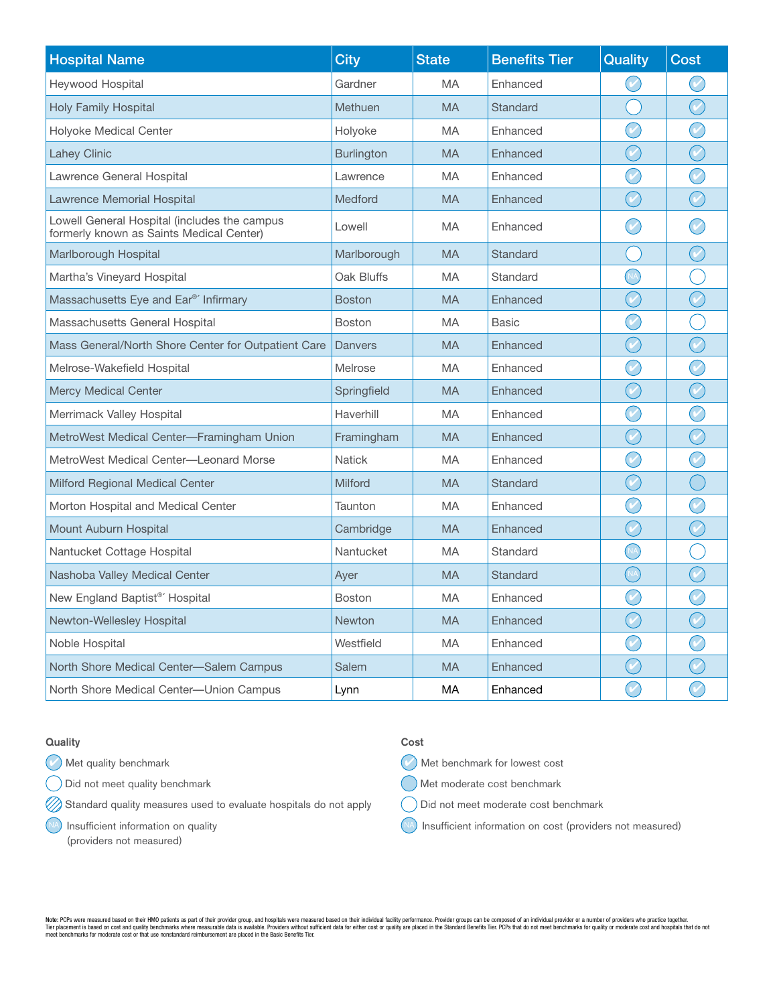| <b>Hospital Name</b>                                                                     | <b>City</b>       | <b>State</b> | <b>Benefits Tier</b> | Quality                     | <b>Cost</b>                     |
|------------------------------------------------------------------------------------------|-------------------|--------------|----------------------|-----------------------------|---------------------------------|
| Heywood Hospital                                                                         | Gardner           | <b>MA</b>    | Enhanced             |                             |                                 |
| <b>Holy Family Hospital</b>                                                              | Methuen           | <b>MA</b>    | Standard             |                             |                                 |
| Holyoke Medical Center                                                                   | Holyoke           | <b>MA</b>    | Enhanced             | $\bigcirc$                  |                                 |
| <b>Lahey Clinic</b>                                                                      | <b>Burlington</b> | <b>MA</b>    | Enhanced             | $\bigcirc$                  | $\begin{matrix} 1 \end{matrix}$ |
| Lawrence General Hospital                                                                | Lawrence          | <b>MA</b>    | Enhanced             |                             |                                 |
| Lawrence Memorial Hospital                                                               | <b>Medford</b>    | <b>MA</b>    | Enhanced             | $\boldsymbol{\mathcal{U}}$  |                                 |
| Lowell General Hospital (includes the campus<br>formerly known as Saints Medical Center) | Lowell            | <b>MA</b>    | Enhanced             |                             |                                 |
| Marlborough Hospital                                                                     | Marlborough       | <b>MA</b>    | Standard             |                             |                                 |
| Martha's Vineyard Hospital                                                               | Oak Bluffs        | <b>MA</b>    | Standard             | NA <sub>.</sub>             |                                 |
| Massachusetts Eye and Ear®' Infirmary                                                    | <b>Boston</b>     | <b>MA</b>    | Enhanced             | $\boldsymbol{\mathcal{C}}$  |                                 |
| Massachusetts General Hospital                                                           | <b>Boston</b>     | <b>MA</b>    | <b>Basic</b>         | $\bigcirc$                  |                                 |
| Mass General/North Shore Center for Outpatient Care                                      | <b>Danvers</b>    | <b>MA</b>    | Enhanced             | $\bigcirc$                  |                                 |
| Melrose-Wakefield Hospital                                                               | Melrose           | MA           | Enhanced             | $\boldsymbol{\mathcal{C}}$  |                                 |
| <b>Mercy Medical Center</b>                                                              | Springfield       | <b>MA</b>    | Enhanced             | $\bigodot$                  | $\curvearrowright$              |
| Merrimack Valley Hospital                                                                | Haverhill         | <b>MA</b>    | Enhanced             | $(\vee)$                    |                                 |
| MetroWest Medical Center-Framingham Union                                                | Framingham        | <b>MA</b>    | Enhanced             | $\left( \mathcal{C}\right)$ |                                 |
| MetroWest Medical Center—Leonard Morse                                                   | <b>Natick</b>     | MA           | Enhanced             | $\boldsymbol{V}$            |                                 |
| Milford Regional Medical Center                                                          | <b>Milford</b>    | <b>MA</b>    | Standard             | $\boldsymbol{\mathcal{C}}$  |                                 |
| Morton Hospital and Medical Center                                                       | Taunton           | <b>MA</b>    | Enhanced             | $\left( \mathcal{C}\right)$ |                                 |
| <b>Mount Auburn Hospital</b>                                                             | Cambridge         | <b>MA</b>    | Enhanced             | $\left(\mathcal{C}\right)$  |                                 |
| Nantucket Cottage Hospital                                                               | Nantucket         | <b>MA</b>    | Standard             | M                           |                                 |
| Nashoba Valley Medical Center                                                            | Ayer              | <b>MA</b>    | <b>Standard</b>      | (NA)<br>C                   |                                 |
| New England Baptist <sup>®'</sup> Hospital                                               | Boston            | <b>MA</b>    | Enhanced             | $\blacktriangledown$        |                                 |
| Newton-Wellesley Hospital                                                                | Newton            | <b>MA</b>    | Enhanced             | $\bigcirc$                  | $\varphi$                       |
| Noble Hospital                                                                           | Westfield         | <b>MA</b>    | Enhanced             | $\left(\mathcal{C}\right)$  |                                 |
| North Shore Medical Center-Salem Campus                                                  | Salem             | <b>MA</b>    | Enhanced             |                             |                                 |
| North Shore Medical Center-Union Campus                                                  | Lynn              | MA           | Enhanced             |                             |                                 |

# **Quality**

 $($  $\vee$  Met quality benchmark

Did not meet quality benchmark

 $\oslash$  Standard quality measures used to evaluate hospitals do not apply

NA Insufficient information on quality

(providers not measured)

### Cost

 $($  $\vee$  Met benchmark for lowest cost

Met moderate cost benchmark

- Did not meet moderate cost benchmark
- (NA) Insufficient information on cost (providers not measured)

Note: PCPs were measured based on their HMO patients as part of their provider group, and hospitals were measured based on their individual facility performance. Provider groups can be composed of an individual provider or